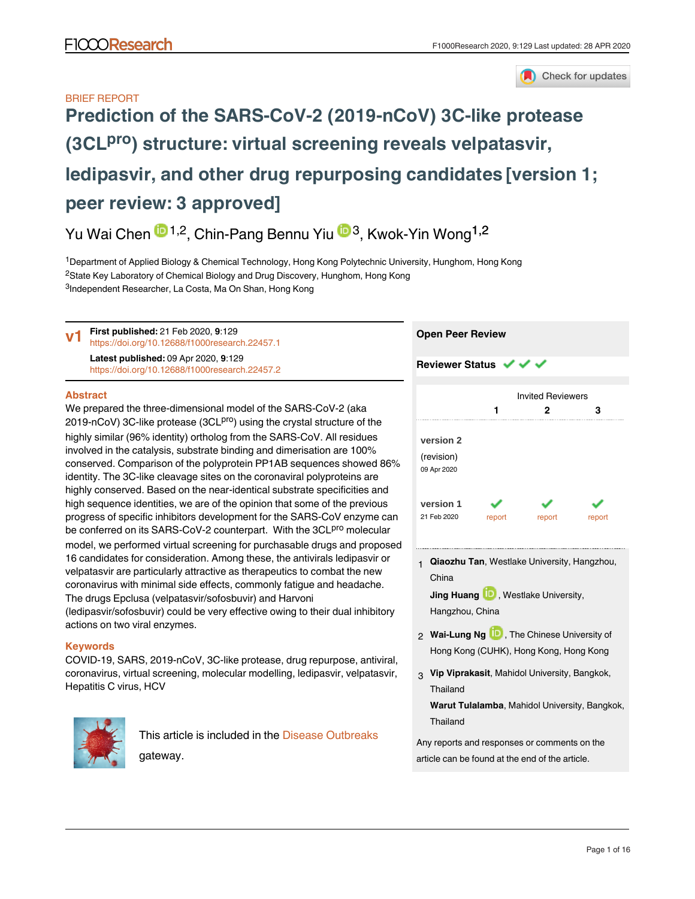

# BRIEF REPORT **[Prediction of the SARS-CoV-2 \(2019-nCoV\) 3C-like protease](https://f1000research.com/articles/9-129/v1)** (3CL<sup>pro</sup>[\) structure: virtual screening reveals velpatasvir,](https://f1000research.com/articles/9-129/v1) **[ledipasvir, and other drug repurposing candidates](https://f1000research.com/articles/9-129/v1) [version 1; peer review: 3 approved]**

Yu Wai Chen <sup>in 1,2</sup>, Chin-Pang Bennu Yiu <sup>in 3</sup>, Kwok-Yin Wong<sup>1,2</sup>

<sup>1</sup>Department of Applied Biology & Chemical Technology, Hong Kong Polytechnic University, Hunghom, Hong Kong <sup>2</sup>State Key Laboratory of Chemical Biology and Drug Discovery, Hunghom, Hong Kong <sup>3</sup>Independent Researcher, La Costa, Ma On Shan, Hong Kong

**First published:** 21 Feb 2020, **9**:129 <https://doi.org/10.12688/f1000research.22457.1> **Latest published:** 09 Apr 2020, **9**:129 <https://doi.org/10.12688/f1000research.22457.2> **v1**

#### **Abstract**

We prepared the three-dimensional model of the SARS-CoV-2 (aka 2019-nCoV) 3C-like protease (3CL<sup>pro</sup>) using the crystal structure of the highly similar (96% identity) ortholog from the SARS-CoV. All residues involved in the catalysis, substrate binding and dimerisation are 100% conserved. Comparison of the polyprotein PP1AB sequences showed 86% identity. The 3C-like cleavage sites on the coronaviral polyproteins are highly conserved. Based on the near-identical substrate specificities and high sequence identities, we are of the opinion that some of the previous progress of specific inhibitors development for the SARS-CoV enzyme can be conferred on its SARS-CoV-2 counterpart. With the 3CL<sup>pro</sup> molecular model, we performed virtual screening for purchasable drugs and proposed 16 candidates for consideration. Among these, the antivirals ledipasvir or velpatasvir are particularly attractive as therapeutics to combat the new coronavirus with minimal side effects, commonly fatigue and headache. The drugs Epclusa (velpatasvir/sofosbuvir) and Harvoni (ledipasvir/sofosbuvir) could be very effective owing to their dual inhibitory actions on two viral enzymes.

## **Keywords**

COVID-19, SARS, 2019-nCoV, 3C-like protease, drug repurpose, antiviral, coronavirus, virtual screening, molecular modelling, ledipasvir, velpatasvir, Hepatitis C virus, HCV



This article is included in the [Disease Outbreaks](https://f1000research.com/gateways/disease_outbreaks) gateway.



**Open Peer Review**

**Qiaozhu Tan**, Westlake University, Hangzhou, 1 China **Jing Huang D**, Westlake University,

Hangzhou, China

- 2 **Wai-Lung Ng UD**, The Chinese University of Hong Kong (CUHK), Hong Kong, Hong Kong
- **Vip Viprakasit**, Mahidol University, Bangkok, 3 Thailand

**Warut Tulalamba**, Mahidol University, Bangkok, Thailand

Any reports and responses or comments on the article can be found at the end of the article.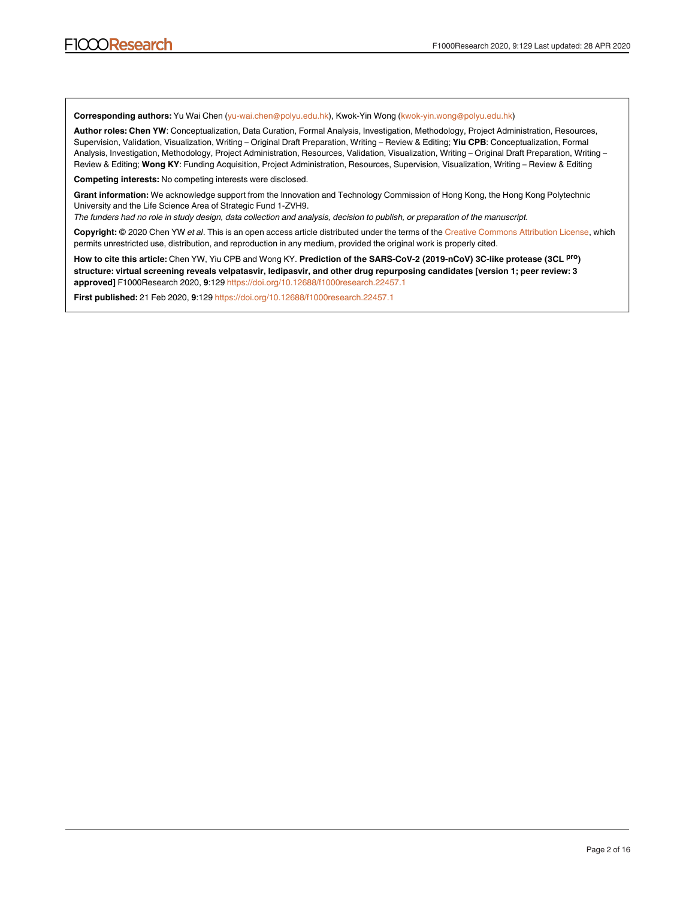**Corresponding authors:** Yu Wai Chen (yu-wai.chen@polyu.edu.hk), Kwok-Yin Wong (kwok-yin.wong@polyu.edu.hk)

**Author roles: Chen YW**: Conceptualization, Data Curation, Formal Analysis, Investigation, Methodology, Project Administration, Resources, Supervision, Validation, Visualization, Writing – Original Draft Preparation, Writing – Review & Editing; **Yiu CPB**: Conceptualization, Formal Analysis, Investigation, Methodology, Project Administration, Resources, Validation, Visualization, Writing – Original Draft Preparation, Writing – Review & Editing; **Wong KY**: Funding Acquisition, Project Administration, Resources, Supervision, Visualization, Writing – Review & Editing

**Competing interests:** No competing interests were disclosed.

**Grant information:** We acknowledge support from the Innovation and Technology Commission of Hong Kong, the Hong Kong Polytechnic University and the Life Science Area of Strategic Fund 1-ZVH9.

*The funders had no role in study design, data collection and analysis, decision to publish, or preparation of the manuscript.*

**Copyright:** © 2020 Chen YW *et al*. This is an open access article distributed under the terms of the [Creative Commons Attribution License](http://creativecommons.org/licenses/by/4.0/), which permits unrestricted use, distribution, and reproduction in any medium, provided the original work is properly cited.

How to cite this article: Chen YW, Yiu CPB and Wong KY. Prediction of the SARS-CoV-2 (2019-nCoV) 3C-like protease (3CL P<sup>ro</sup>) **structure: virtual screening reveals velpatasvir, ledipasvir, and other drug repurposing candidates [version 1; peer review: 3 approved]** F1000Research 2020, **9**:129<https://doi.org/10.12688/f1000research.22457.1>

**First published:** 21 Feb 2020, **9**:129<https://doi.org/10.12688/f1000research.22457.1>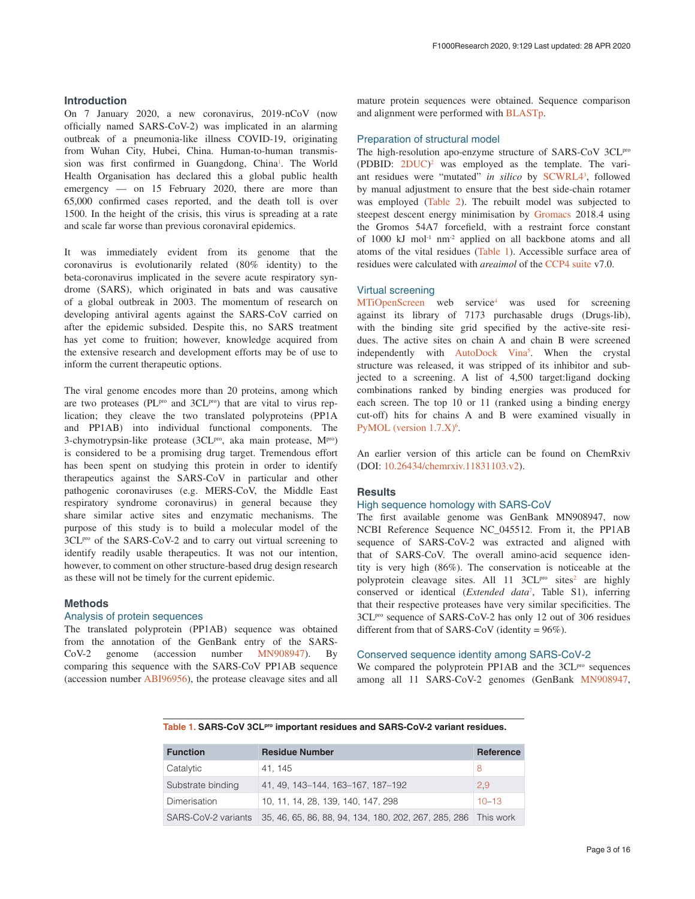#### <span id="page-2-0"></span>**Introduction**

On 7 January 2020, a new coronavirus, 2019-nCoV (now officially named SARS-CoV-2) was implicated in an alarming outbreak of a pneumonia-like illness COVID-19, originating from Wuhan City, Hubei, China. Human-to-human transmis-sion was first confirmed in Guangdong, China<sup>[1](#page-6-0)</sup>. The World Health Organisation has declared this a global public health emergency — on 15 February 2020, there are more than 65,000 confirmed cases reported, and the death toll is over 1500. In the height of the crisis, this virus is spreading at a rate and scale far worse than previous coronaviral epidemics.

It was immediately evident from its genome that the coronavirus is evolutionarily related (80% identity) to the beta-coronavirus implicated in the severe acute respiratory syndrome (SARS), which originated in bats and was causative of a global outbreak in 2003. The momentum of research on developing antiviral agents against the SARS-CoV carried on after the epidemic subsided. Despite this, no SARS treatment has yet come to fruition; however, knowledge acquired from the extensive research and development efforts may be of use to inform the current therapeutic options.

The viral genome encodes more than 20 proteins, among which are two proteases (PL $P<sup>pro</sup>$  and 3CL $P<sup>pro</sup>$ ) that are vital to virus replication; they cleave the two translated polyproteins (PP1A and PP1AB) into individual functional components. The 3-chymotrypsin-like protease (3CL<sup>pro</sup>, aka main protease, M<sup>pro</sup>) is considered to be a promising drug target. Tremendous effort has been spent on studying this protein in order to identify therapeutics against the SARS-CoV in particular and other pathogenic coronaviruses (e.g. MERS-CoV, the Middle East respiratory syndrome coronavirus) in general because they share similar active sites and enzymatic mechanisms. The purpose of this study is to build a molecular model of the 3CL<sup>pro</sup> of the SARS-CoV-2 and to carry out virtual screening to identify readily usable therapeutics. It was not our intention, however, to comment on other structure-based drug design research as these will not be timely for the current epidemic.

#### **Methods**

#### Analysis of protein sequences

The translated polyprotein (PP1AB) sequence was obtained from the annotation of the GenBank entry of the SARS-CoV-2 genome (accession number [MN908947\)](https://www.ncbi.nlm.nih.gov/nuccore/MN908947). By comparing this sequence with the SARS-CoV PP1AB sequence (accession number [ABI96956\)](https://www.ncbi.nlm.nih.gov/protein/ABI96956.1), the protease cleavage sites and all

mature protein sequences were obtained. Sequence comparison and alignment were performed with [BLASTp.](https://blast.ncbi.nlm.nih.gov/Blast.cgi?PAGE=Proteins)

#### Preparation of structural model

The high-resolution apo-enzyme structure of SARS-CoV 3CL<sup>pro</sup> (PDBID:  $2DUC$  $2DUC$ <sup>2</sup> was employed as the template. The vari-ant residues were "mutated" in silico by [SCWRL4](http://dunbrack.fccc.edu/SCWRL3.php/)<sup>[3](#page-6-0)</sup>, followed by manual adjustment to ensure that the best side-chain rotamer was employed ([Table 2](#page-3-0)). The rebuilt model was subjected to steepest descent energy minimisation by [Gromacs](http://www.gromacs.org/) 2018.4 using the Gromos 54A7 forcefield, with a restraint force constant of 1000 kJ mol-1 nm-2 applied on all backbone atoms and all atoms of the vital residues (Table 1). Accessible surface area of residues were calculated with *areaimol* of the [CCP4 suite](http://www.ccp4.ac.uk/) v7.0.

#### Virtual screening

[MTiOpenScreen](https://bioserv.rpbs.univ-paris-diderot.fr/services/MTiOpenScreen/) web service<sup>[4](#page-6-0)</sup> was used for screening against its library of 7173 purchasable drugs (Drugs-lib), with the binding site grid specified by the active-site residues. The active sites on chain A and chain B were screened independently with [AutoDock Vina](http://vina.scripps.edu/)<sup>[5](#page-6-0)</sup>. When the crystal structure was released, it was stripped of its inhibitor and subjected to a screening. A list of 4,500 target:ligand docking combinations ranked by binding energies was produced for each screen. The top 10 or 11 (ranked using a binding energy cut-off) hits for chains A and B were examined visually in [PyMOL \(version 1.7.X\)](https://sourceforge.net/projects/pymol/files/pymol/1.7/)<sup>[6](#page-7-0)</sup>.

An earlier version of this article can be found on ChemRxiv (DOI: [10.26434/chemrxiv.11831103.v2](https://doi.org/10.26434/chemrxiv.11831103.v2)).

#### **Results**

#### High sequence homology with SARS-CoV

The first available genome was GenBank MN908947, now NCBI Reference Sequence NC\_045512. From it, the PP1AB sequence of SARS-CoV-2 was extracted and aligned with that of SARS-CoV. The overall amino-acid sequence identity is very high (86%). The conservation is noticeable at the polyprotein cleavage sites. All  $11 \text{ } 3CL^{pro}$  sites<sup>2</sup> are highly conserved or identical (*Extended data*[7](#page-7-0) , Table S1), inferring that their respective proteases have very similar specificities. The 3CLpro sequence of SARS-CoV-2 has only 12 out of 306 residues different from that of SARS-CoV (identity = 96%).

#### Conserved sequence identity among SARS-CoV-2

We compared the polyprotein PP1AB and the 3CL<sup>pro</sup> sequences among all 11 SARS-CoV-2 genomes (GenBank [MN908947](https://www.ncbi.nlm.nih.gov/nuccore/MN908947),

**Table 1. SARS-CoV 3CLpro important residues and SARS-CoV-2 variant residues.**

| <b>Function</b>     | <b>Residue Number</b>                                          | Reference |
|---------------------|----------------------------------------------------------------|-----------|
| Catalytic           | 41.145                                                         |           |
| Substrate binding   | 41, 49, 143–144, 163–167, 187–192                              | 2,9       |
| Dimerisation        | 10, 11, 14, 28, 139, 140, 147, 298                             | $10 - 13$ |
| SARS-CoV-2 variants | 35, 46, 65, 86, 88, 94, 134, 180, 202, 267, 285, 286 This work |           |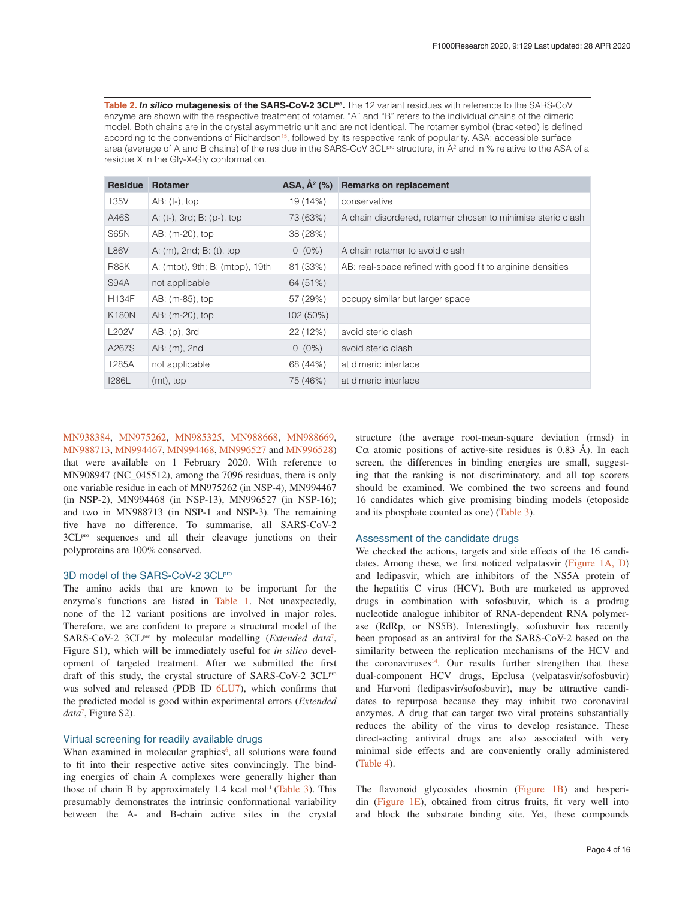<span id="page-3-0"></span>**Table 2.** *In silico* **mutagenesis of the SARS-CoV-2 3CLpro.** The 12 variant residues with reference to the SARS-CoV enzyme are shown with the respective treatment of rotamer. "A" and "B" refers to the individual chains of the dimeric model. Both chains are in the crystal asymmetric unit and are not identical. The rotamer symbol (bracketed) is defined according to the conventions of Richardson<sup>15</sup>, followed by its respective rank of popularity. ASA: accessible surface area (average of A and B chains) of the residue in the SARS-CoV 3CL<sup>pro</sup> structure, in A<sup>2</sup> and in % relative to the ASA of a residue X in the Gly-X-Gly conformation.

| <b>Residue</b>     | <b>Rotamer</b>                  | ASA, $A^2$ (%) | <b>Remarks on replacement</b>                               |
|--------------------|---------------------------------|----------------|-------------------------------------------------------------|
| <b>T35V</b>        | $AB: (t-)$ , top                | 19 (14%)       | conservative                                                |
| A46S               | A: (t-), 3rd; B: (p-), top      | 73 (63%)       | A chain disordered, rotamer chosen to minimise steric clash |
| S65N               | AB: (m-20), top                 | 38 (28%)       |                                                             |
| <b>L86V</b>        | A: (m), 2nd; B: (t), top        | $0(0\%)$       | A chain rotamer to avoid clash                              |
| R88K               | A: (mtpt), 9th; B: (mtpp), 19th | 81 (33%)       | AB: real-space refined with good fit to arginine densities  |
| S94A               | not applicable                  | 64 (51%)       |                                                             |
| <b>H134F</b>       | AB: (m-85), top                 | 57 (29%)       | occupy similar but larger space                             |
| <b>K180N</b>       | AB: (m-20), top                 | 102 (50%)      |                                                             |
| <b>L202V</b>       | $AB: (p)$ , 3rd                 | 22 (12%)       | avoid steric clash                                          |
| A267S              | AB: (m), 2nd                    | $0(0\%)$       | avoid steric clash                                          |
| T <sub>285</sub> A | not applicable                  | 68 (44%)       | at dimeric interface                                        |
| <b>I286L</b>       | $(mt)$ , top                    | 75 (46%)       | at dimeric interface                                        |

[MN938384](https://www.ncbi.nlm.nih.gov/nuccore/MN938384), [MN975262](https://www.ncbi.nlm.nih.gov/nuccore/MN975262), [MN985325,](https://www.ncbi.nlm.nih.gov/nuccore/MN985325) [MN988668](https://www.ncbi.nlm.nih.gov/nuccore/MN988668), [MN988669](https://www.ncbi.nlm.nih.gov/nuccore/MN988669), [MN988713](https://www.ncbi.nlm.nih.gov/nuccore/MN988713), [MN994467](https://www.ncbi.nlm.nih.gov/nuccore/MN994467), [MN994468,](https://www.ncbi.nlm.nih.gov/nuccore/MN994468) [MN996527](https://www.ncbi.nlm.nih.gov/nuccore/MN996527) and [MN996528\)](https://www.ncbi.nlm.nih.gov/nuccore/MN996528) that were available on 1 February 2020. With reference to MN908947 (NC\_045512), among the 7096 residues, there is only one variable residue in each of MN975262 (in NSP-4), MN994467 (in NSP-2), MN994468 (in NSP-13), MN996527 (in NSP-16); and two in MN988713 (in NSP-1 and NSP-3). The remaining five have no difference. To summarise, all SARS-CoV-2 3CLpro sequences and all their cleavage junctions on their polyproteins are 100% conserved.

#### 3D model of the SARS-CoV-2 3CLPro

The amino acids that are known to be important for the enzyme's functions are listed in [Table 1.](#page-2-0) Not unexpectedly, none of the 12 variant positions are involved in major roles. Therefore, we are confident to prepare a structural model of the SARS-CoV-2 3CL<sup>pro</sup> by molecular modelling (*Extended data<sup>[7](#page-7-0)</sup>*, Figure S1), which will be immediately useful for *in silico* development of targeted treatment. After we submitted the first draft of this study, the crystal structure of SARS-CoV-2 3CL<sup>pro</sup> was solved and released (PDB ID [6LU7\)](https://www.rcsb.org/structure/6LU7), which confirms that the predicted model is good within experimental errors (*Extended data*[7](#page-7-0) , Figure S2).

#### Virtual screening for readily available drugs

When examined in molecular graphics<sup> $6$ </sup>, all solutions were found to fit into their respective active sites convincingly. The binding energies of chain A complexes were generally higher than those of chain B by approximately  $1.4$  kcal mol<sup>-1</sup> ([Table 3](#page-4-0)). This presumably demonstrates the intrinsic conformational variability between the A- and B-chain active sites in the crystal

structure (the average root-mean-square deviation (rmsd) in C $\alpha$  atomic positions of active-site residues is 0.83 Å). In each screen, the differences in binding energies are small, suggesting that the ranking is not discriminatory, and all top scorers should be examined. We combined the two screens and found 16 candidates which give promising binding models (etoposide and its phosphate counted as one) [\(Table 3\)](#page-4-0).

#### Assessment of the candidate drugs

We checked the actions, targets and side effects of the 16 candidates. Among these, we first noticed velpatasvir ([Figure 1A, D\)](#page-5-0) and ledipasvir, which are inhibitors of the NS5A protein of the hepatitis C virus (HCV). Both are marketed as approved drugs in combination with sofosbuvir, which is a prodrug nucleotide analogue inhibitor of RNA-dependent RNA polymerase (RdRp, or NS5B). Interestingly, sofosbuvir has recently been proposed as an antiviral for the SARS-CoV-2 based on the similarity between the replication mechanisms of the HCV and the coronaviruses<sup>14</sup>. Our results further strengthen that these dual-component HCV drugs, Epclusa (velpatasvir/sofosbuvir) and Harvoni (ledipasvir/sofosbuvir), may be attractive candidates to repurpose because they may inhibit two coronaviral enzymes. A drug that can target two viral proteins substantially reduces the ability of the virus to develop resistance. These direct-acting antiviral drugs are also associated with very minimal side effects and are conveniently orally administered ([Table 4](#page-5-0)).

The flavonoid glycosides diosmin ([Figure 1B\)](#page-5-0) and hesperidin ([Figure 1E\)](#page-5-0), obtained from citrus fruits, fit very well into and block the substrate binding site. Yet, these compounds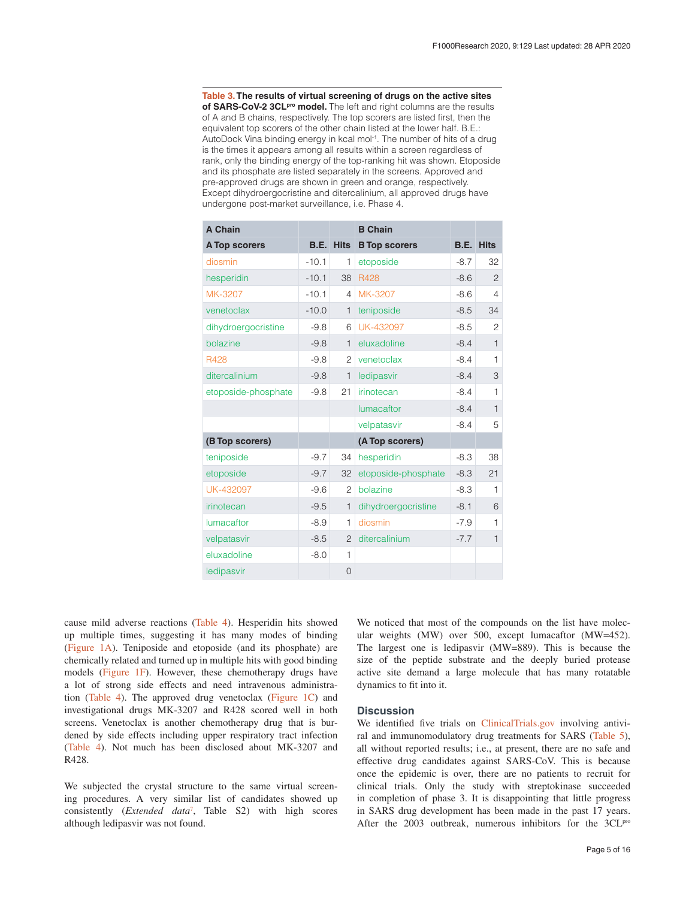<span id="page-4-0"></span>**Table 3. The results of virtual screening of drugs on the active sites**  of SARS-CoV-2 3CL<sup>pro</sup> model. The left and right columns are the results of A and B chains, respectively. The top scorers are listed first, then the equivalent top scorers of the other chain listed at the lower half. B.E.: AutoDock Vina binding energy in kcal mol<sup>-1</sup>. The number of hits of a drug is the times it appears among all results within a screen regardless of rank, only the binding energy of the top-ranking hit was shown. Etoposide and its phosphate are listed separately in the screens. Approved and pre-approved drugs are shown in green and orange, respectively. Except dihydroergocristine and ditercalinium, all approved drugs have undergone post-market surveillance, i.e. Phase 4.

| A Chain              |             |                | <b>B</b> Chain       |        |                  |  |
|----------------------|-------------|----------------|----------------------|--------|------------------|--|
| <b>A Top scorers</b> | <b>B.E.</b> | <b>Hits</b>    | <b>B</b> Top scorers |        | <b>B.E. Hits</b> |  |
| diosmin              | $-10.1$     | 1              | etoposide            | $-8.7$ | 32               |  |
| hesperidin           | $-10.1$     | 38             | R428                 | $-8.6$ | $\overline{2}$   |  |
| MK-3207              | $-10.1$     | $\overline{4}$ | MK-3207              | $-8.6$ | 4                |  |
| venetoclax           | $-10.0$     | $\mathbf{1}$   | teniposide           | $-8.5$ | 34               |  |
| dihydroergocristine  | $-9.8$      | 6              | UK-432097            | $-8.5$ | $\overline{c}$   |  |
| bolazine             | $-9.8$      | $\mathbf{1}$   | eluxadoline          | $-8.4$ | $\mathbf{1}$     |  |
| R428                 | $-9.8$      | $\overline{c}$ | venetoclax           | $-8.4$ | $\mathbf{1}$     |  |
| ditercalinium        | $-9.8$      | $\mathbf{1}$   | ledipasvir           | $-8.4$ | 3                |  |
| etoposide-phosphate  | $-9.8$      | 21             | irinotecan           | $-8.4$ | $\mathbf{1}$     |  |
|                      |             |                | lumacaftor           | $-8.4$ | $\mathbf{1}$     |  |
|                      |             |                | velpatasvir          | $-8.4$ | 5                |  |
| (B Top scorers)      |             |                | (A Top scorers)      |        |                  |  |
| teniposide           | $-9.7$      | 34             | hesperidin           | $-8.3$ | 38               |  |
| etoposide            | $-9.7$      | 32             | etoposide-phosphate  | $-8.3$ | 21               |  |
| UK-432097            | $-9.6$      | $\overline{c}$ | bolazine             | $-8.3$ | $\mathbf{1}$     |  |
| irinotecan           | $-9.5$      | $\mathbf{1}$   | dihydroergocristine  | $-8.1$ | 6                |  |
| lumacaftor           | $-8.9$      | 1              | diosmin              | $-7.9$ | $\mathbf{1}$     |  |
| velpatasvir          | $-8.5$      | $\overline{c}$ | ditercalinium        | $-7.7$ | $\mathbf{1}$     |  |
| eluxadoline          | $-8.0$      | 1              |                      |        |                  |  |
| ledipasvir           |             | 0              |                      |        |                  |  |

cause mild adverse reactions [\(Table 4\)](#page-5-0). Hesperidin hits showed up multiple times, suggesting it has many modes of binding ([Figure 1A\)](#page-5-0). Teniposide and etoposide (and its phosphate) are chemically related and turned up in multiple hits with good binding models [\(Figure 1F](#page-5-0)). However, these chemotherapy drugs have a lot of strong side effects and need intravenous administration [\(Table 4\)](#page-5-0). The approved drug venetoclax ([Figure 1C](#page-5-0)) and investigational drugs MK-3207 and R428 scored well in both screens. Venetoclax is another chemotherapy drug that is burdened by side effects including upper respiratory tract infection ([Table 4\)](#page-5-0). Not much has been disclosed about MK-3207 and R428.

We subjected the crystal structure to the same virtual screening procedures. A very similar list of candidates showed up consistently (*Extended data*[7](#page-7-0) , Table S2) with high scores although ledipasvir was not found.

We noticed that most of the compounds on the list have molecular weights (MW) over 500, except lumacaftor (MW=452). The largest one is ledipasvir (MW=889). This is because the size of the peptide substrate and the deeply buried protease active site demand a large molecule that has many rotatable dynamics to fit into it.

#### **Discussion**

We identified five trials on [ClinicalTrials.gov](https://clinicaltrials.gov/) involving antiviral and immunomodulatory drug treatments for SARS ([Table 5](#page-6-0)), all without reported results; i.e., at present, there are no safe and effective drug candidates against SARS-CoV. This is because once the epidemic is over, there are no patients to recruit for clinical trials. Only the study with streptokinase succeeded in completion of phase 3. It is disappointing that little progress in SARS drug development has been made in the past 17 years. After the 2003 outbreak, numerous inhibitors for the 3CL<sup>pro</sup>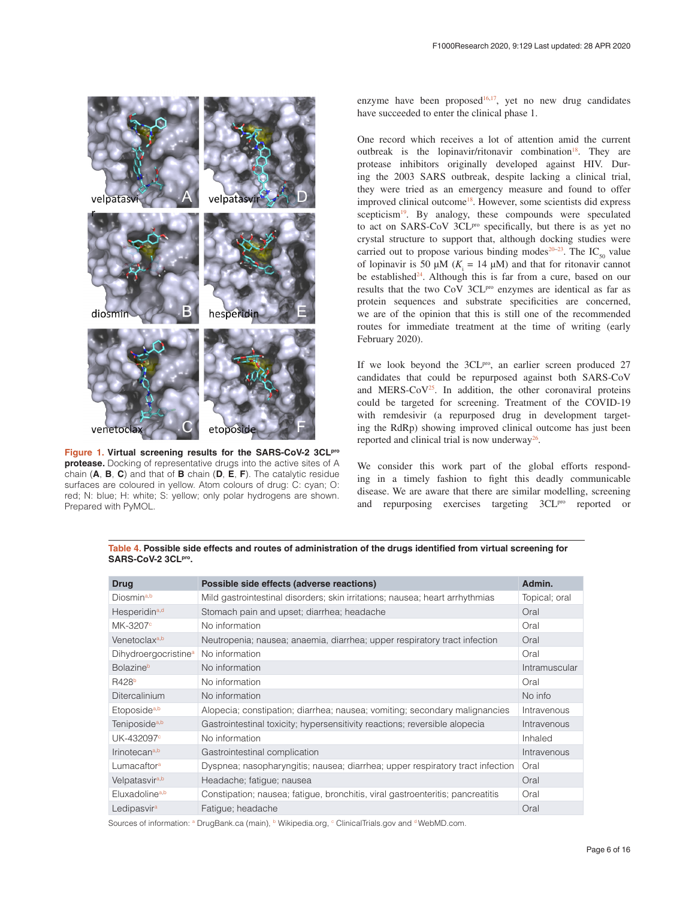<span id="page-5-0"></span>

**Figure 1. Virtual screening results for the SARS-CoV-2 3CLpro protease.** Docking of representative drugs into the active sites of A chain (**A**, **B**, **C**) and that of **B** chain (**D**, **E**, **F**). The catalytic residue surfaces are coloured in yellow. Atom colours of drug: C: cyan; O: red; N: blue; H: white; S: yellow; only polar hydrogens are shown. Prepared with PyMOL.

enzyme have been proposed<sup>[16,17](#page-7-0)</sup>, yet no new drug candidates have succeeded to enter the clinical phase 1.

One record which receives a lot of attention amid the current outbreak is the lopinavir/ritonavir combination<sup>18</sup>. They are protease inhibitors originally developed against HIV. During the 2003 SARS outbreak, despite lacking a clinical trial, they were tried as an emergency measure and found to offer improved clinical outcome<sup>18</sup>. However, some scientists did express scepticism $19$ . By analogy, these compounds were speculated to act on SARS-CoV 3CL<sup>pro</sup> specifically, but there is as yet no crystal structure to support that, although docking studies were carried out to propose various binding modes<sup>20–23</sup>. The IC<sub>50</sub> value of lopinavir is 50  $\mu$ M ( $K_i = 14 \mu$ M) and that for ritonavir cannot be established $24$ . Although this is far from a cure, based on our results that the two CoV 3CL<sup>pro</sup> enzymes are identical as far as protein sequences and substrate specificities are concerned, we are of the opinion that this is still one of the recommended routes for immediate treatment at the time of writing (early February 2020).

If we look beyond the 3CL<sup>pro</sup>, an earlier screen produced 27 candidates that could be repurposed against both SARS-CoV and MERS- $CoV<sup>25</sup>$ . In addition, the other coronaviral proteins could be targeted for screening. Treatment of the COVID-19 with remdesivir (a repurposed drug in development targeting the RdRp) showing improved clinical outcome has just been reported and clinical trial is now underway $26$ .

We consider this work part of the global efforts responding in a timely fashion to fight this deadly communicable disease. We are aware that there are similar modelling, screening and repurposing exercises targeting 3CL<sup>pro</sup> reported or

**Table 4. Possible side effects and routes of administration of the drugs identified from virtual screening for**  SARS-CoV-2 3CLPro.

| <b>Drug</b>                      | Possible side effects (adverse reactions)                                      | Admin.        |
|----------------------------------|--------------------------------------------------------------------------------|---------------|
| Diosmin <sup>a,b</sup>           | Mild gastrointestinal disorders; skin irritations; nausea; heart arrhythmias   | Topical; oral |
| Hesperidin <sup>a,d</sup>        | Stomach pain and upset; diarrhea; headache                                     | Oral          |
| MK-3207 <sup>c</sup>             | No information                                                                 | Oral          |
| Venetoclax <sup>a,b</sup>        | Neutropenia; nausea; anaemia, diarrhea; upper respiratory tract infection      | Oral          |
| Dihydroergocristine <sup>a</sup> | No information                                                                 | Oral          |
| <b>Bolazine</b> <sup>b</sup>     | No information                                                                 | Intramuscular |
| R428 <sup>b</sup>                | No information                                                                 | Oral          |
| Ditercalinium                    | No information                                                                 | No info       |
| Etoposide <sup>a,b</sup>         | Alopecia; constipation; diarrhea; nausea; vomiting; secondary malignancies     | Intravenous   |
| Teniposide <sup>a,b</sup>        | Gastrointestinal toxicity; hypersensitivity reactions; reversible alopecia     | Intravenous   |
| UK-432097 <sup>c</sup>           | No information                                                                 | Inhaled       |
| Irinotecan <sup>a,b</sup>        | Gastrointestinal complication                                                  | Intravenous   |
| Lumacaftor <sup>a</sup>          | Dyspnea; nasopharyngitis; nausea; diarrhea; upper respiratory tract infection  | Oral          |
| Velpatasvir <sup>a,b</sup>       | Headache; fatigue; nausea                                                      | Oral          |
| Eluxadoline <sup>a,b</sup>       | Constipation; nausea; fatigue, bronchitis, viral gastroenteritis; pancreatitis | Oral          |
| Ledipasvir <sup>a</sup>          | Fatigue; headache                                                              | Oral          |

Sources of information: a DrugBank.ca (main), b Wikipedia.org, c ClinicalTrials.gov and d WebMD.com.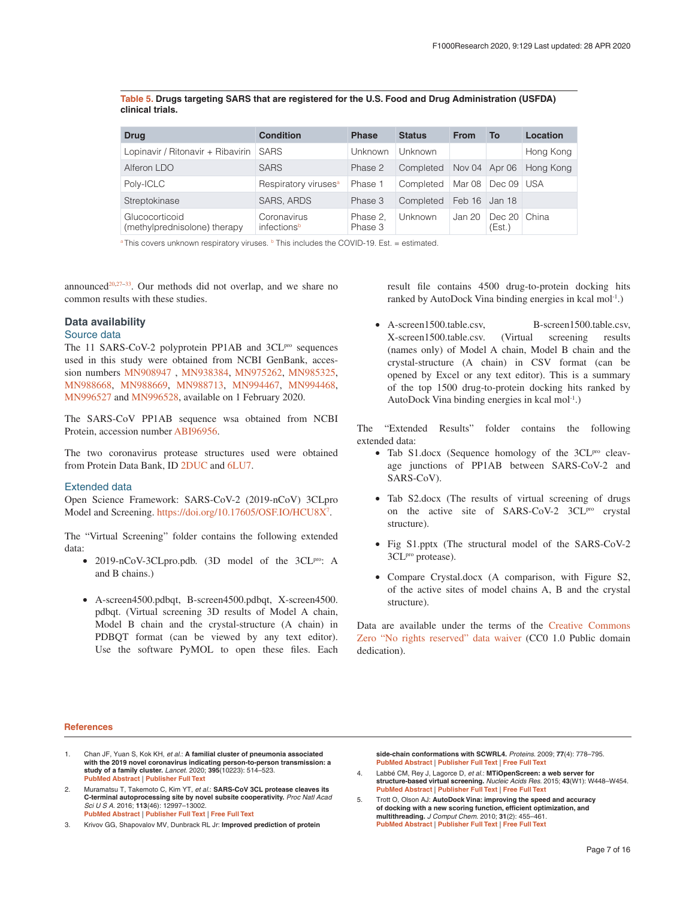#### <span id="page-6-0"></span>**Table 5. Drugs targeting SARS that are registered for the U.S. Food and Drug Administration (USFDA) clinical trials.**

| <b>Drug</b>                                    | <b>Condition</b>                 | <b>Phase</b>        | <b>Status</b> | <b>From</b>   | То                     | Location  |
|------------------------------------------------|----------------------------------|---------------------|---------------|---------------|------------------------|-----------|
| Lopinavir / Ritonavir + Ribavirin              | <b>SARS</b>                      | Unknown             | Unknown       |               |                        | Hong Kong |
| Alferon LDO                                    | <b>SARS</b>                      | Phase 2             | Completed     | Nov 04 Apr 06 |                        | Hona Kona |
| Poly-ICLC                                      | Respiratory viruses <sup>a</sup> | Phase 1             | Completed     |               | Mar 08   Dec 09   USA  |           |
| Streptokinase                                  | SARS, ARDS                       | Phase 3             | Completed     | Feb 16 Jan 18 |                        |           |
| Glucocorticoid<br>(methylprednisolone) therapy | Coronavirus<br>infectionsb       | Phase 2.<br>Phase 3 | Unknown       | Jan 20        | Dec 20 China<br>(Est.) |           |

<sup>a</sup> This covers unknown respiratory viruses.  $\overline{b}$  This includes the COVID-19. Est. = estimated.

announced<sup>[20](#page-7-0),27-33</sup>. Our methods did not overlap, and we share no common results with these studies.

#### **Data availability**

#### Source data

The 11 SARS-CoV-2 polyprotein PP1AB and 3CL<sup>pro</sup> sequences used in this study were obtained from NCBI GenBank, accession numbers [MN908947](https://www.ncbi.nlm.nih.gov/nuccore/MN908947) , [MN938384,](https://www.ncbi.nlm.nih.gov/nuccore/MN938384) [MN975262,](https://www.ncbi.nlm.nih.gov/nuccore/MN975262) [MN985325,](https://www.ncbi.nlm.nih.gov/nuccore/MN985325) [MN988668](https://www.ncbi.nlm.nih.gov/nuccore/MN988668), [MN988669,](https://www.ncbi.nlm.nih.gov/nuccore/MN988669) [MN988713](https://www.ncbi.nlm.nih.gov/nuccore/MN988713), [MN994467](https://www.ncbi.nlm.nih.gov/nuccore/MN994467), [MN994468,](https://www.ncbi.nlm.nih.gov/nuccore/MN994468) [MN996527](https://www.ncbi.nlm.nih.gov/nuccore/MN996527) and [MN996528](https://www.ncbi.nlm.nih.gov/nuccore/MN996528), available on 1 February 2020.

The SARS-CoV PP1AB sequence wsa obtained from NCBI Protein, accession number [ABI96956.](https://www.ncbi.nlm.nih.gov/protein/ABI96956.1)

The two coronavirus protease structures used were obtained from Protein Data Bank, ID [2DUC](https://www.rcsb.org/structure/2DUC) and [6LU7.](https://www.rcsb.org/structure/6LU7)

#### Extended data

Open Science Framework: SARS-CoV-2 (2019-nCoV) 3CLpro Model and Screening.<https://doi.org/10.17605/OSF.IO/HCU8X><sup>[7](#page-7-0)</sup>.

The "Virtual Screening" folder contains the following extended data:

- 2019-nCoV-3CLpro.pdb. (3D model of the 3CL<sup>pro</sup>: A and B chains.)
- A-screen4500.pdbqt, B-screen4500.pdbqt, X-screen4500. pdbqt. (Virtual screening 3D results of Model A chain, Model B chain and the crystal-structure (A chain) in PDBQT format (can be viewed by any text editor). Use the software PyMOL to open these files. Each

result file contains 4500 drug-to-protein docking hits ranked by AutoDock Vina binding energies in kcal mol-1.)

• A-screen1500.table.csv, B-screen1500.table.csv, X-screen1500.table.csv. (Virtual screening results (names only) of Model A chain, Model B chain and the crystal-structure (A chain) in CSV format (can be opened by Excel or any text editor). This is a summary of the top 1500 drug-to-protein docking hits ranked by AutoDock Vina binding energies in kcal mol-1.)

The "Extended Results" folder contains the following extended data:

- Tab S1.docx (Sequence homology of the  $3CL<sup>pro</sup>$  cleavage junctions of PP1AB between SARS-CoV-2 and SARS-CoV).
- Tab S2.docx (The results of virtual screening of drugs on the active site of SARS-CoV-2 3CL<sup>pro</sup> crystal structure).
- Fig S1.pptx (The structural model of the SARS-CoV-2 3CL<sup>pro</sup> protease).
- Compare Crystal.docx (A comparison, with Figure S2, of the active sites of model chains A, B and the crystal structure).

Data are available under the terms of the [Creative Commons](https://creativecommons.org/publicdomain/zero/1.0/legalcode)  [Zero "No rights reserved" data waiver](https://creativecommons.org/publicdomain/zero/1.0/legalcode) (CC0 1.0 Public domain dedication).

#### **References**

- 1. Chan JF, Yuan S, Kok KH, *et al.*: **A familial cluster of pneumonia associated with the 2019 novel coronavirus indicating person-to-person transmission: a study of a family cluster.** *Lancet.* 2020; **395**(10223): 514–523. **[PubMed Abstract](http://www.ncbi.nlm.nih.gov/pubmed/31986261)** | **[Publisher Full Text](http://dx.doi.org/10.1016/S0140-6736(20)30154-9)**
- 2. Muramatsu T, Takemoto C, Kim YT, *et al.*: **SARS-CoV 3CL protease cleaves its C-terminal autoprocessing site by novel subsite cooperativity.** *Proc Natl Acad Sci U S A.* 2016; **113**(46): 12997–13002. **[PubMed Abstract](http://www.ncbi.nlm.nih.gov/pubmed/27799534)** | **[Publisher Full Text](http://dx.doi.org/10.1073/pnas.1601327113)** | **[Free Full Text](http://www.ncbi.nlm.nih.gov/pmc/articles/5135343)**
- 3. Krivov GG, Shapovalov MV, Dunbrack RL Jr: **Improved prediction of protein**

**side-chain conformations with SCWRL4.** *Proteins.* 2009; **77**(4): 778–795. **[PubMed Abstract](http://www.ncbi.nlm.nih.gov/pubmed/19603484)** | **[Publisher Full Text](http://dx.doi.org/10.1002/prot.22488)** | **[Free Full Text](http://www.ncbi.nlm.nih.gov/pmc/articles/2885146)**

- 4. Labbé CM, Rey J, Lagorce D, *et al.*: **MTiOpenScreen: a web server for structure-based virtual screening.** *Nucleic Acids Res.* 2015; **43**(W1): W448–W454. **[PubMed Abstract](http://www.ncbi.nlm.nih.gov/pubmed/25855812)** | **[Publisher Full Text](http://dx.doi.org/10.1093/nar/gkv306)** | **[Free Full Text](http://www.ncbi.nlm.nih.gov/pmc/articles/4489289)**
- 5. Trott O, Olson AJ: **AutoDock Vina: improving the speed and accuracy of docking with a new scoring function, efficient optimization, and multithreading.** *J Comput Chem.* 2010; **31**(2): 455–461. **[PubMed Abstract](http://www.ncbi.nlm.nih.gov/pubmed/19499576)** | **[Publisher Full Text](http://dx.doi.org/10.1002/jcc.21334)** | **[Free Full Text](http://www.ncbi.nlm.nih.gov/pmc/articles/3041641)**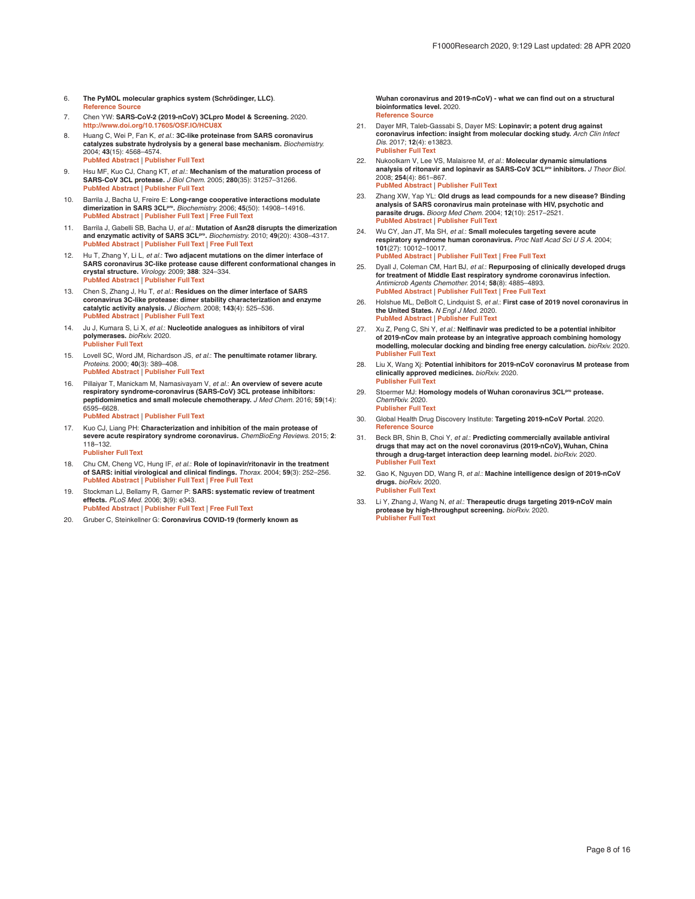- <span id="page-7-0"></span>6. **The PyMOL molecular graphics system (Schrödinger, LLC)**. **[Reference Source](http://pymol.sourceforge.net/overview/index.htm)**
- 7. Chen YW: **SARS-CoV-2 (2019-nCoV) 3CLpro Model & Screening.** 2020. **<http://www.doi.org/10.17605/OSF.IO/HCU8X>**
- 8. Huang C, Wei P, Fan K, *et al.*: **3C-like proteinase from SARS coronavirus catalyzes substrate hydrolysis by a general base mechanism.** *Biochemistry.* 2004; **43**(15): 4568–4574. **[PubMed Abstract](http://www.ncbi.nlm.nih.gov/pubmed/15078103)** | **[Publisher Full Text](http://dx.doi.org/10.1021/bi036022q)**
- 9. Hsu MF, Kuo CJ, Chang KT, *et al.*: **Mechanism of the maturation process of SARS-CoV 3CL protease.** *J Biol Chem.* 2005; **280**(35): 31257–31266. **[PubMed Abstract](http://www.ncbi.nlm.nih.gov/pubmed/15788388)** | **[Publisher Full Text](http://dx.doi.org/10.1074/jbc.M502577200)**
- 10. Barrila J, Bacha U, Freire E: **Long-range cooperative interactions modulate dimerization in SARS 3CLpro.** *Biochemistry.* 2006; **45**(50): 14908–14916. **[PubMed Abstract](http://www.ncbi.nlm.nih.gov/pubmed/17154528)** | **[Publisher Full Text](http://dx.doi.org/10.1021/bi0616302)** | **[Free Full Text](http://www.ncbi.nlm.nih.gov/pmc/articles/2570436)**
- 11. Barrila J, Gabelli SB, Bacha U, *et al.*: **Mutation of Asn28 disrupts the dimerization and enzymatic activity of SARS 3CLpro.** *Biochemistry.* 2010; **49**(20): 4308–4317. **[PubMed Abstract](http://www.ncbi.nlm.nih.gov/pubmed/20420403)** | **[Publisher Full Text](http://dx.doi.org/10.1021/bi1002585)** | **[Free Full Text](http://www.ncbi.nlm.nih.gov/pmc/articles/2877132)**
- 12. Hu T, Zhang Y, Li L, *et al.*: **Two adjacent mutations on the dimer interface of SARS coronavirus 3C-like protease cause different conformational changes in crystal structure.** *Virology.* 2009; **388**: 324–334. **[PubMed Abstract](http://www.ncbi.nlm.nih.gov/pubmed/19409595)** | **[Publisher Full Text](http://dx.doi.org/10.1016/j.virol.2009.03.034)**
- 13. Chen S, Zhang J, Hu T, *et al.*: **Residues on the dimer interface of SARS coronavirus 3C-like protease: dimer stability characterization and enzyme catalytic activity analysis.** *J Biochem.* 2008; **143**(4): 525–536. **[PubMed Abstract](http://www.ncbi.nlm.nih.gov/pubmed/18182387)** | **[Publisher Full Text](http://dx.doi.org/10.1093/jb/mvm246)**
- 14. Ju J, Kumara S, Li X, *et al.*: **Nucleotide analogues as inhibitors of viral polymerases.** *bioRxiv.* 2020. **[Publisher Full Text](http://dx.doi.org/10.1101/2020.01.30.927574)**
- 15. Lovell SC, Word JM, Richardson JS, *et al.*: **The penultimate rotamer library.** *Proteins.* 2000; **40**(3): 389–408. **[PubMed Abstract](http://www.ncbi.nlm.nih.gov/pubmed/10861930)** | **[Publisher Full Text](http://dx.doi.org/10.1002/1097-0134(20000815)40:3<389::AID-PROT50>3.0.CO;2-2)**
- 16. Pillaiyar T, Manickam M, Namasivayam V, *et al.*: **An overview of severe acute respiratory syndrome-coronavirus (SARS-CoV) 3CL protease inhibitors: peptidomimetics and small molecule chemotherapy.** *J Med Chem.* 2016; **59**(14): 6595–6628. **[PubMed Abstract](http://www.ncbi.nlm.nih.gov/pubmed/26878082)** | **[Publisher Full Text](http://dx.doi.org/10.1021/acs.jmedchem.5b01461)**
- 17. Kuo CJ, Liang PH: **Characterization and inhibition of the main protease of severe acute respiratory syndrome coronavirus.** *ChemBioEng Reviews.* 2015; **2**: 118–132.

**[Publisher Full Text](http://dx.doi.org/10.1002/cben.201400031)**

- 18. Chu CM, Cheng VC, Hung IF, *et al.*: **Role of lopinavir/ritonavir in the treatment of SARS: initial virological and clinical findings.** *Thorax.* 2004; **59**(3): 252–256. **[PubMed Abstract](http://www.ncbi.nlm.nih.gov/pubmed/14985565)** | **[Publisher Full Text](http://dx.doi.org/10.1136/thorax.2003.012658)** | **[Free Full Text](http://www.ncbi.nlm.nih.gov/pmc/articles/1746980)**
- 19. Stockman LJ, Bellamy R, Garner P: **SARS: systematic review of treatment effects.** *PLoS Med.* 2006; **3**(9): e343. **[PubMed Abstract](http://www.ncbi.nlm.nih.gov/pubmed/16968120)** | **[Publisher Full Text](http://dx.doi.org/10.1371/journal.pmed.0030343)** | **[Free Full Text](http://www.ncbi.nlm.nih.gov/pmc/articles/1564166)**
- 20. Gruber C, Steinkellner G: **Coronavirus COVID-19 (formerly known as**

**Wuhan coronavirus and 2019-nCoV) - what we can find out on a structural bioinformatics level.** 2020. **[Reference Source](https://innophore.com/2019-ncov/)**

- 21. Dayer MR, Taleb-Gassabi S, Dayer MS: **Lopinavir; a potent drug against coronavirus infection: insight from molecular docking study.** *Arch Clin Infect Dis.* 2017; **12**(4): e13823. **[Publisher Full Text](http://dx.doi.org/10.5812/archcid.13823)**
- 22. Nukoolkarn V, Lee VS, Malaisree M, *et al.*: **Molecular dynamic simulations**  analysis of ritonavir and lopinavir as SARS-CoV 3CLP<sup>ro</sup> inhibitors. *J Theor Biol.* 2008; **254**(4): 861–867. **[PubMed Abstract](http://www.ncbi.nlm.nih.gov/pubmed/18706430)** | **[Publisher Full Text](http://dx.doi.org/10.1016/j.jtbi.2008.07.030)**
- 23. Zhang XW, Yap YL: **Old drugs as lead compounds for a new disease? Binding analysis of SARS coronavirus main proteinase with HIV, psychotic and parasite drugs.** *Bioorg Med Chem.* 2004; **12**(10): 2517–2521. **[PubMed Abstract](http://www.ncbi.nlm.nih.gov/pubmed/15110833)** | **[Publisher Full Text](http://dx.doi.org/10.1016/j.bmc.2004.03.035)**
- 24. Wu CY, Jan JT, Ma SH, *et al.*: **Small molecules targeting severe acute respiratory syndrome human coronavirus.** *Proc Natl Acad Sci U S A.* 2004; **101**(27): 10012–10017. **[PubMed Abstract](http://www.ncbi.nlm.nih.gov/pubmed/15226499)** | **[Publisher Full Text](http://dx.doi.org/10.1073/pnas.0403596101)** | **[Free Full Text](http://www.ncbi.nlm.nih.gov/pmc/articles/454157)**
- 25. Dyall J, Coleman CM, Hart BJ, *et al.*: **Repurposing of clinically developed drugs for treatment of Middle East respiratory syndrome coronavirus infection.** *Antimicrob Agents Chemother.* 2014; **58**(8): 4885–4893. **[PubMed Abstract](http://www.ncbi.nlm.nih.gov/pubmed/24841273)** | **[Publisher Full Text](http://dx.doi.org/10.1128/AAC.03036-14)** | **[Free Full Text](http://www.ncbi.nlm.nih.gov/pmc/articles/4136000)**
- 26. Holshue ML, DeBolt C, Lindquist S, *et al.*: **First case of 2019 novel coronavirus in the United States.** *N Engl J Med.* 2020. **[PubMed Abstract](http://www.ncbi.nlm.nih.gov/pubmed/32004427)** | **[Publisher Full Text](http://dx.doi.org/10.1056/NEJMoa2001191)**
- 27. Xu Z, Peng C, Shi Y, *et al.*: **Nelfinavir was predicted to be a potential inhibitor of 2019-nCov main protease by an integrative approach combining homology modelling, molecular docking and binding free energy calculation.** *bioRxiv.* 2020. **[Publisher Full Text](http://dx.doi.org/10.1101/2020.01.27.921627)**
- 28. Liu X, Wang Xj: **Potential inhibitors for 2019-nCoV coronavirus M protease from clinically approved medicines.** *bioRxiv.* 2020. **[Publisher Full Text](http://dx.doi.org/10.1101/2020.01.29.924100)**
- 29. Stoermer MJ: **Homology models of Wuhan coronavirus 3CLpro protease.** *ChemRxiv.* 2020. **[Publisher Full Text](http://dx.doi.org/10.26434/chemrxiv.11637294.v1)**
- 30. Global Health Drug Discovery Institute: **Targeting 2019-nCoV Portal**. 2020. **[Reference Source](https://ghddi-ailab.github.io/Targeting2019-nCoV/)**
- 31. Beck BR, Shin B, Choi Y, *et al.*: **Predicting commercially available antiviral drugs that may act on the novel coronavirus (2019-nCoV), Wuhan, China through a drug-target interaction deep learning model.** *bioRxiv.* 2020. **[Publisher Full Text](http://dx.doi.org/10.1101/2020.01.31.929547)**
- 32. Gao K, Nguyen DD, Wang R, *et al.*: **Machine intelligence design of 2019-nCoV drugs.** *bioRxiv.* 2020. **[Publisher Full Text](http://dx.doi.org/10.1101/2020.01.30.927889)**
- 33. Li Y, Zhang J, Wang N, *et al.*: **Therapeutic drugs targeting 2019-nCoV main protease by high-throughput screening.** *bioRxiv.* 2020. **[Publisher Full Text](http://dx.doi.org/10.1101/2020.01.28.922922)**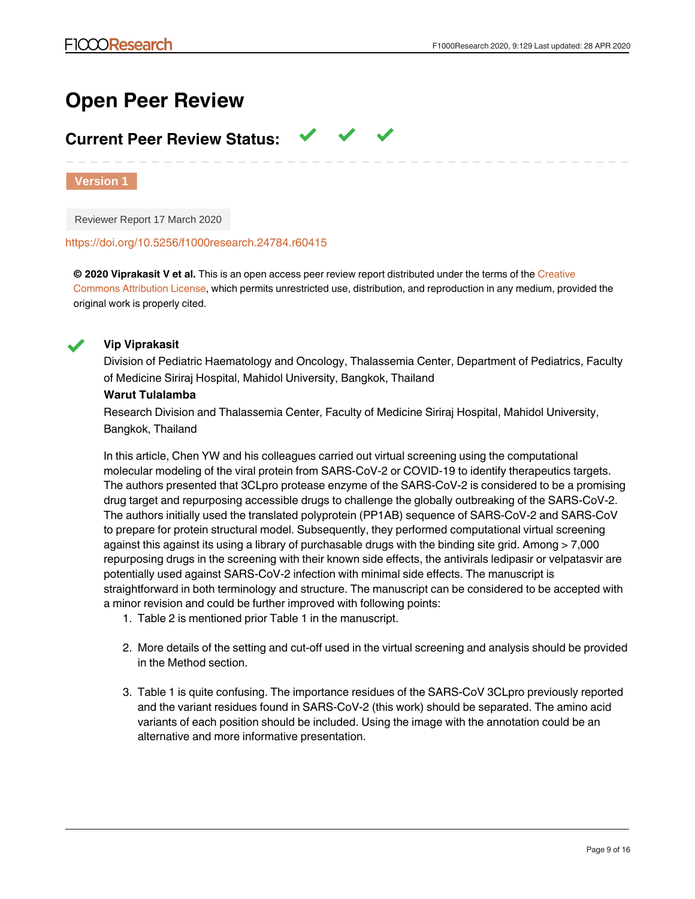## **Open Peer Review**

## **Current Peer Review Status:**

**Version 1**

Reviewer Report 17 March 2020

#### <https://doi.org/10.5256/f1000research.24784.r60415>

**© 2020 Viprakasit V et al.** This is an open access peer review report distributed under the terms of the [Creative](https://creativecommons.org/licenses/by/4.0/) [Commons Attribution License,](https://creativecommons.org/licenses/by/4.0/) which permits unrestricted use, distribution, and reproduction in any medium, provided the original work is properly cited.



## **Vip Viprakasit**

4.

Division of Pediatric Haematology and Oncology, Thalassemia Center, Department of Pediatrics, Faculty of Medicine Siriraj Hospital, Mahidol University, Bangkok, Thailand

## **Warut Tulalamba**

Research Division and Thalassemia Center, Faculty of Medicine Siriraj Hospital, Mahidol University, Bangkok, Thailand

In this article, Chen YW and his colleagues carried out virtual screening using the computational molecular modeling of the viral protein from SARS-CoV-2 or COVID-19 to identify therapeutics targets. The authors presented that 3CLpro protease enzyme of the SARS-CoV-2 is considered to be a promising drug target and repurposing accessible drugs to challenge the globally outbreaking of the SARS-CoV-2. The authors initially used the translated polyprotein (PP1AB) sequence of SARS-CoV-2 and SARS-CoV to prepare for protein structural model. Subsequently, they performed computational virtual screening against this against its using a library of purchasable drugs with the binding site grid. Among > 7,000 repurposing drugs in the screening with their known side effects, the antivirals ledipasir or velpatasvir are potentially used against SARS-CoV-2 infection with minimal side effects. The manuscript is straightforward in both terminology and structure. The manuscript can be considered to be accepted with a minor revision and could be further improved with following points:

- 1. Table 2 is mentioned prior Table 1 in the manuscript.
- 2. More details of the setting and cut-off used in the virtual screening and analysis should be provided in the Method section.
- 3. Table 1 is quite confusing. The importance residues of the SARS-CoV 3CLpro previously reported and the variant residues found in SARS-CoV-2 (this work) should be separated. The amino acid variants of each position should be included. Using the image with the annotation could be an alternative and more informative presentation.

In Table 3, some information should be included in the table, such as molecular weight. In addition,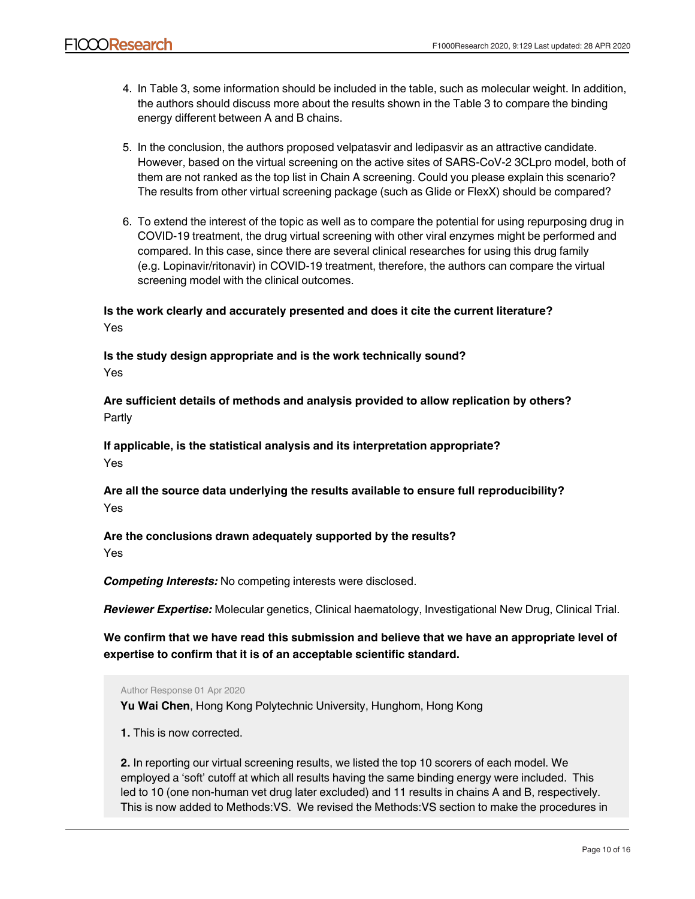- 4. In Table 3, some information should be included in the table, such as molecular weight. In addition, the authors should discuss more about the results shown in the Table 3 to compare the binding energy different between A and B chains.
- 5. In the conclusion, the authors proposed velpatasvir and ledipasvir as an attractive candidate. However, based on the virtual screening on the active sites of SARS-CoV-2 3CLpro model, both of them are not ranked as the top list in Chain A screening. Could you please explain this scenario? The results from other virtual screening package (such as Glide or FlexX) should be compared?
- 6. To extend the interest of the topic as well as to compare the potential for using repurposing drug in COVID-19 treatment, the drug virtual screening with other viral enzymes might be performed and compared. In this case, since there are several clinical researches for using this drug family (e.g. Lopinavir/ritonavir) in COVID-19 treatment, therefore, the authors can compare the virtual screening model with the clinical outcomes.

**Is the work clearly and accurately presented and does it cite the current literature?** Yes

**Is the study design appropriate and is the work technically sound?** Yes

**Are sufficient details of methods and analysis provided to allow replication by others?** Partly

**If applicable, is the statistical analysis and its interpretation appropriate?** Yes

**Are all the source data underlying the results available to ensure full reproducibility?** Yes

**Are the conclusions drawn adequately supported by the results?**

Yes

*Competing Interests:* No competing interests were disclosed.

*Reviewer Expertise:* Molecular genetics, Clinical haematology, Investigational New Drug, Clinical Trial.

**We confirm that we have read this submission and believe that we have an appropriate level of expertise to confirm that it is of an acceptable scientific standard.**

Author Response 01 Apr 2020

**Yu Wai Chen**, Hong Kong Polytechnic University, Hunghom, Hong Kong

**1.** This is now corrected.

MTiopens Communication

**2.** In reporting our virtual screening results, we listed the top 10 scorers of each model. We employed a 'soft' cutoff at which all results having the same binding energy were included. This led to 10 (one non-human vet drug later excluded) and 11 results in chains A and B, respectively. This is now added to Methods:VS. We revised the Methods:VS section to make the procedures in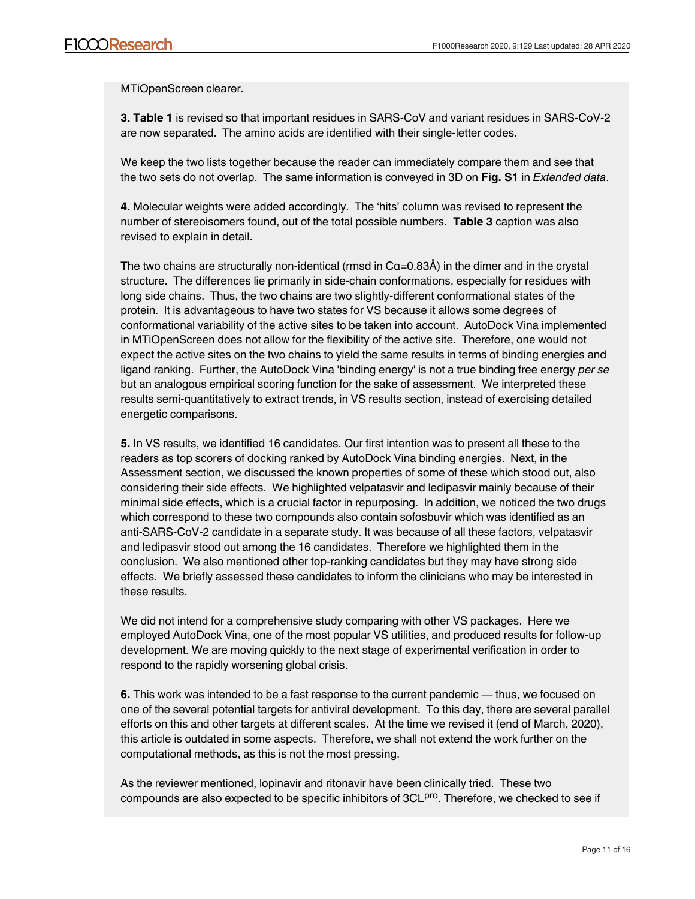MTiOpenScreen clearer.

**3. Table 1** is revised so that important residues in SARS-CoV and variant residues in SARS-CoV-2 are now separated. The amino acids are identified with their single-letter codes.

We keep the two lists together because the reader can immediately compare them and see that the two sets do not overlap. The same information is conveyed in 3D on **Fig. S1** in *Extended data*.

**4.** Molecular weights were added accordingly. The 'hits' column was revised to represent the number of stereoisomers found, out of the total possible numbers. **Table 3** caption was also revised to explain in detail.

The two chains are structurally non-identical (rmsd in  $Ca=0.83\text{\AA}$ ) in the dimer and in the crystal structure. The differences lie primarily in side-chain conformations, especially for residues with long side chains. Thus, the two chains are two slightly-different conformational states of the protein. It is advantageous to have two states for VS because it allows some degrees of conformational variability of the active sites to be taken into account. AutoDock Vina implemented in MTiOpenScreen does not allow for the flexibility of the active site. Therefore, one would not expect the active sites on the two chains to yield the same results in terms of binding energies and ligand ranking. Further, the AutoDock Vina 'binding energy' is not a true binding free energy *per se* but an analogous empirical scoring function for the sake of assessment. We interpreted these results semi-quantitatively to extract trends, in VS results section, instead of exercising detailed energetic comparisons.

**5.** In VS results, we identified 16 candidates. Our first intention was to present all these to the readers as top scorers of docking ranked by AutoDock Vina binding energies. Next, in the Assessment section, we discussed the known properties of some of these which stood out, also considering their side effects. We highlighted velpatasvir and ledipasvir mainly because of their minimal side effects, which is a crucial factor in repurposing. In addition, we noticed the two drugs which correspond to these two compounds also contain sofosbuvir which was identified as an anti-SARS-CoV-2 candidate in a separate study. It was because of all these factors, velpatasvir and ledipasvir stood out among the 16 candidates. Therefore we highlighted them in the conclusion. We also mentioned other top-ranking candidates but they may have strong side effects. We briefly assessed these candidates to inform the clinicians who may be interested in these results.

We did not intend for a comprehensive study comparing with other VS packages. Here we employed AutoDock Vina, one of the most popular VS utilities, and produced results for follow-up development. We are moving quickly to the next stage of experimental verification in order to respond to the rapidly worsening global crisis.

**6.** This work was intended to be a fast response to the current pandemic — thus, we focused on one of the several potential targets for antiviral development. To this day, there are several parallel efforts on this and other targets at different scales. At the time we revised it (end of March, 2020), this article is outdated in some aspects. Therefore, we shall not extend the work further on the computational methods, as this is not the most pressing.

As the reviewer mentioned, lopinavir and ritonavir have been clinically tried. These two compounds are also expected to be specific inhibitors of 3CL<sup>pro</sup>. Therefore, we checked to see if

VS picked up these two drugs: indeed it did, with a medium score (now included in **Table 3**) quite a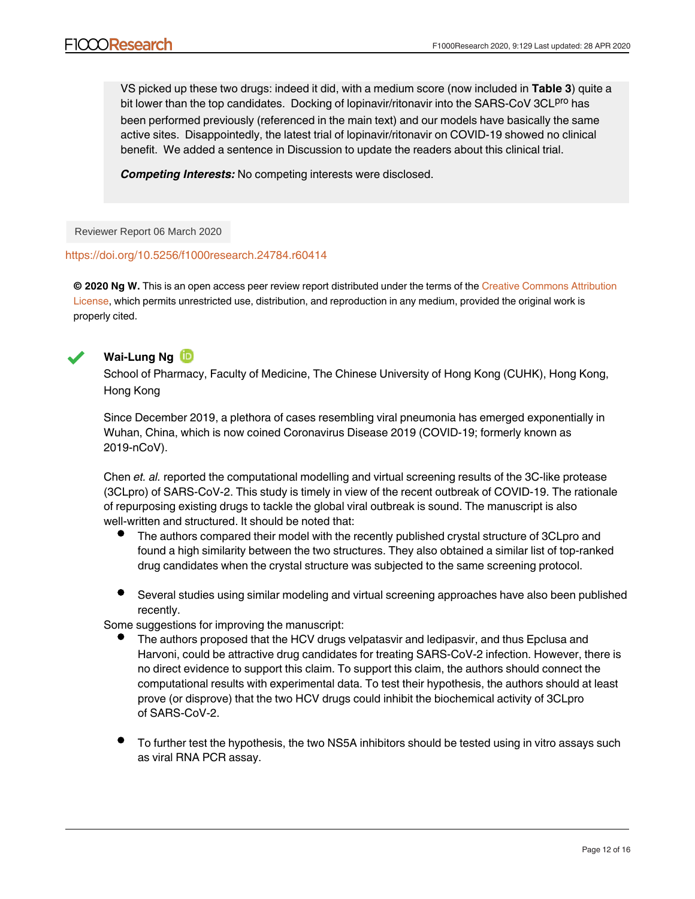VS picked up these two drugs: indeed it did, with a medium score (now included in **Table 3**) quite a bit lower than the top candidates. Docking of lopinavir/ritonavir into the SARS-CoV 3CL<sup>pro</sup> has been performed previously (referenced in the main text) and our models have basically the same active sites. Disappointedly, the latest trial of lopinavir/ritonavir on COVID-19 showed no clinical benefit. We added a sentence in Discussion to update the readers about this clinical trial.

*Competing Interests:* No competing interests were disclosed.

Reviewer Report 06 March 2020

## <https://doi.org/10.5256/f1000research.24784.r60414>

**© 2020 Ng W.** This is an open access peer review report distributed under the terms of the [Creative Commons Attribution](https://creativecommons.org/licenses/by/4.0/) [License,](https://creativecommons.org/licenses/by/4.0/) which permits unrestricted use, distribution, and reproduction in any medium, provided the original work is properly cited.



## **Wai-Lung Ng**

School of Pharmacy, Faculty of Medicine, The Chinese University of Hong Kong (CUHK), Hong Kong, Hong Kong

Since December 2019, a plethora of cases resembling viral pneumonia has emerged exponentially in Wuhan, China, which is now coined Coronavirus Disease 2019 (COVID-19; formerly known as 2019-nCoV).

Chen *et. al.* reported the computational modelling and virtual screening results of the 3C-like protease (3CLpro) of SARS-CoV-2. This study is timely in view of the recent outbreak of COVID-19. The rationale of repurposing existing drugs to tackle the global viral outbreak is sound. The manuscript is also well-written and structured. It should be noted that:

- The authors compared their model with the recently published crystal structure of 3CLpro and found a high similarity between the two structures. They also obtained a similar list of top-ranked drug candidates when the crystal structure was subjected to the same screening protocol.
- Several studies using similar modeling and virtual screening approaches have also been published recently.

Some suggestions for improving the manuscript:

- The authors proposed that the HCV drugs velpatasvir and ledipasvir, and thus Epclusa and Harvoni, could be attractive drug candidates for treating SARS-CoV-2 infection. However, there is no direct evidence to support this claim. To support this claim, the authors should connect the computational results with experimental data. To test their hypothesis, the authors should at least prove (or disprove) that the two HCV drugs could inhibit the biochemical activity of 3CLpro of SARS-CoV-2.
- To further test the hypothesis, the two NS5A inhibitors should be tested using in vitro assays such as viral RNA PCR assay.

If there are no such experimental data to support the claim, the authors may consider revising their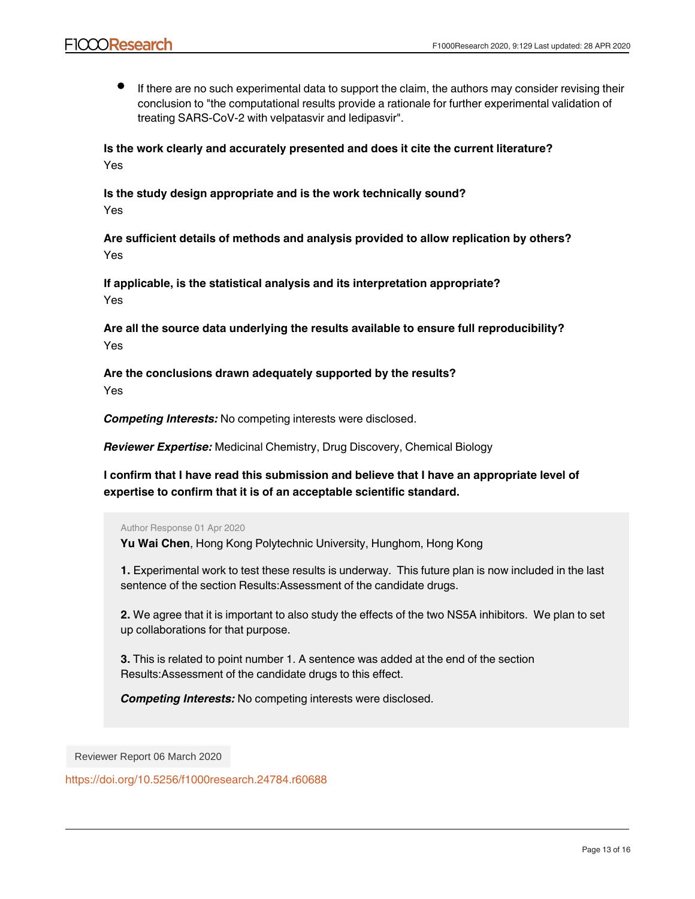If there are no such experimental data to support the claim, the authors may consider revising their conclusion to "the computational results provide a rationale for further experimental validation of treating SARS-CoV-2 with velpatasvir and ledipasvir".

**Is the work clearly and accurately presented and does it cite the current literature?** Yes

**Is the study design appropriate and is the work technically sound?** Yes

**Are sufficient details of methods and analysis provided to allow replication by others?** Yes

**If applicable, is the statistical analysis and its interpretation appropriate?** Yes

**Are all the source data underlying the results available to ensure full reproducibility?** Yes

**Are the conclusions drawn adequately supported by the results?** Yes

*Competing Interests:* No competing interests were disclosed.

*Reviewer Expertise:* Medicinal Chemistry, Drug Discovery, Chemical Biology

**I confirm that I have read this submission and believe that I have an appropriate level of expertise to confirm that it is of an acceptable scientific standard.**

Author Response 01 Apr 2020

**Yu Wai Chen**, Hong Kong Polytechnic University, Hunghom, Hong Kong

**1.** Experimental work to test these results is underway. This future plan is now included in the last sentence of the section Results:Assessment of the candidate drugs.

**2.** We agree that it is important to also study the effects of the two NS5A inhibitors. We plan to set up collaborations for that purpose.

**3.** This is related to point number 1. A sentence was added at the end of the section Results:Assessment of the candidate drugs to this effect.

**© 2020 Huang J et al.** This is an open access peer review report distributed under the terms of the [Creative Commons](https://creativecommons.org/licenses/by/4.0/)

*Competing Interests:* No competing interests were disclosed.

Reviewer Report 06 March 2020

<https://doi.org/10.5256/f1000research.24784.r60688>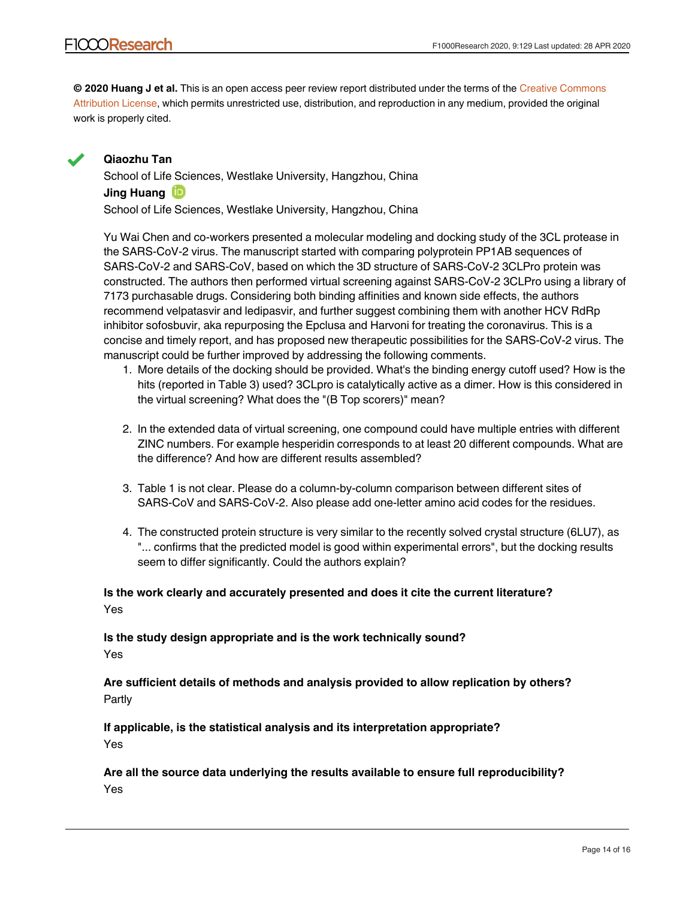**© 2020 Huang J et al.** This is an open access peer review report distributed under the terms of the [Creative Commons](https://creativecommons.org/licenses/by/4.0/) [Attribution License](https://creativecommons.org/licenses/by/4.0/), which permits unrestricted use, distribution, and reproduction in any medium, provided the original work is properly cited.



## **Qiaozhu Tan**

School of Life Sciences, Westlake University, Hangzhou, China **Jing Huang** School of Life Sciences, Westlake University, Hangzhou, China

Yu Wai Chen and co-workers presented a molecular modeling and docking study of the 3CL protease in the SARS-CoV-2 virus. The manuscript started with comparing polyprotein PP1AB sequences of SARS-CoV-2 and SARS-CoV, based on which the 3D structure of SARS-CoV-2 3CLPro protein was constructed. The authors then performed virtual screening against SARS-CoV-2 3CLPro using a library of 7173 purchasable drugs. Considering both binding affinities and known side effects, the authors recommend velpatasvir and ledipasvir, and further suggest combining them with another HCV RdRp inhibitor sofosbuvir, aka repurposing the Epclusa and Harvoni for treating the coronavirus. This is a concise and timely report, and has proposed new therapeutic possibilities for the SARS-CoV-2 virus. The manuscript could be further improved by addressing the following comments.

- 1. More details of the docking should be provided. What's the binding energy cutoff used? How is the hits (reported in Table 3) used? 3CLpro is catalytically active as a dimer. How is this considered in the virtual screening? What does the "(B Top scorers)" mean?
- 2. In the extended data of virtual screening, one compound could have multiple entries with different ZINC numbers. For example hesperidin corresponds to at least 20 different compounds. What are the difference? And how are different results assembled?
- 3. Table 1 is not clear. Please do a column-by-column comparison between different sites of SARS-CoV and SARS-CoV-2. Also please add one-letter amino acid codes for the residues.
- 4. The constructed protein structure is very similar to the recently solved crystal structure (6LU7), as "... confirms that the predicted model is good within experimental errors", but the docking results seem to differ significantly. Could the authors explain?

## **Is the work clearly and accurately presented and does it cite the current literature?** Yes

## **Is the study design appropriate and is the work technically sound?** Yes

**Are sufficient details of methods and analysis provided to allow replication by others?** Partly

**If applicable, is the statistical analysis and its interpretation appropriate?** Yes

**Are the conclusions drawn adequately supported by the results?**

**Are all the source data underlying the results available to ensure full reproducibility?** Yes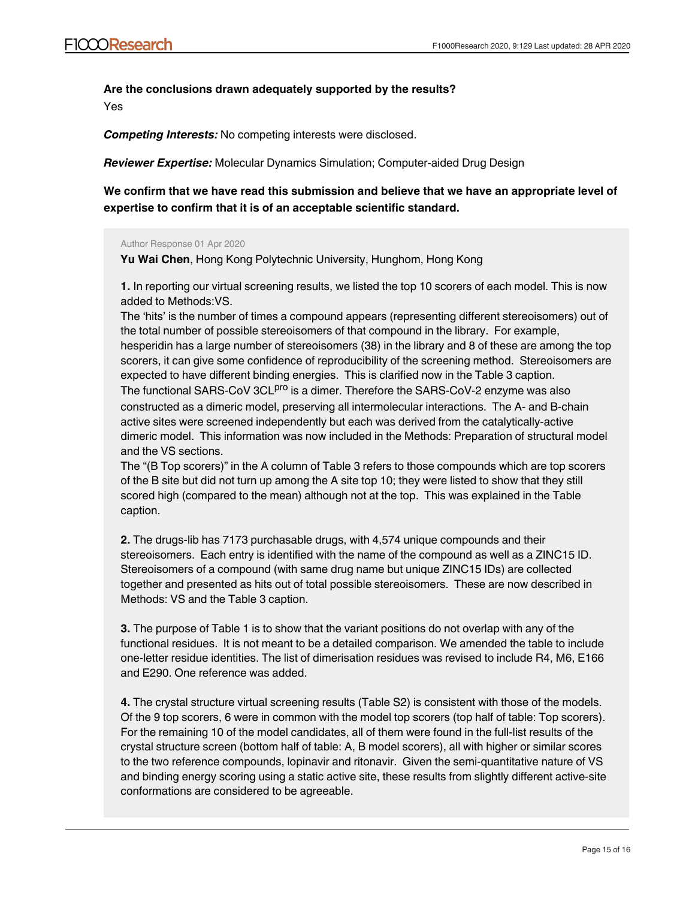## **Are the conclusions drawn adequately supported by the results?**

Yes

*Competing Interests:* No competing interests were disclosed.

*Reviewer Expertise:* Molecular Dynamics Simulation; Computer-aided Drug Design

**We confirm that we have read this submission and believe that we have an appropriate level of expertise to confirm that it is of an acceptable scientific standard.**

#### Author Response 01 Apr 2020

**Yu Wai Chen**, Hong Kong Polytechnic University, Hunghom, Hong Kong

**1.** In reporting our virtual screening results, we listed the top 10 scorers of each model. This is now added to Methods:VS.

The 'hits' is the number of times a compound appears (representing different stereoisomers) out of the total number of possible stereoisomers of that compound in the library. For example,

hesperidin has a large number of stereoisomers (38) in the library and 8 of these are among the top scorers, it can give some confidence of reproducibility of the screening method. Stereoisomers are expected to have different binding energies. This is clarified now in the Table 3 caption. The functional SARS-CoV 3CL<sup>pro</sup> is a dimer. Therefore the SARS-CoV-2 enzyme was also

constructed as a dimeric model, preserving all intermolecular interactions. The A- and B-chain active sites were screened independently but each was derived from the catalytically-active dimeric model. This information was now included in the Methods: Preparation of structural model and the VS sections.

The "(B Top scorers)" in the A column of Table 3 refers to those compounds which are top scorers of the B site but did not turn up among the A site top 10; they were listed to show that they still scored high (compared to the mean) although not at the top. This was explained in the Table caption.

**2.** The drugs-lib has 7173 purchasable drugs, with 4,574 unique compounds and their stereoisomers. Each entry is identified with the name of the compound as well as a ZINC15 ID. Stereoisomers of a compound (with same drug name but unique ZINC15 IDs) are collected together and presented as hits out of total possible stereoisomers. These are now described in Methods: VS and the Table 3 caption.

**3.** The purpose of Table 1 is to show that the variant positions do not overlap with any of the functional residues. It is not meant to be a detailed comparison. We amended the table to include one-letter residue identities. The list of dimerisation residues was revised to include R4, M6, E166 and E290. One reference was added.

**4.** The crystal structure virtual screening results (Table S2) is consistent with those of the models. Of the 9 top scorers, 6 were in common with the model top scorers (top half of table: Top scorers). For the remaining 10 of the model candidates, all of them were found in the full-list results of the crystal structure screen (bottom half of table: A, B model scorers), all with higher or similar scores to the two reference compounds, lopinavir and ritonavir. Given the semi-quantitative nature of VS and binding energy scoring using a static active site, these results from slightly different active-site conformations are considered to be agreeable.